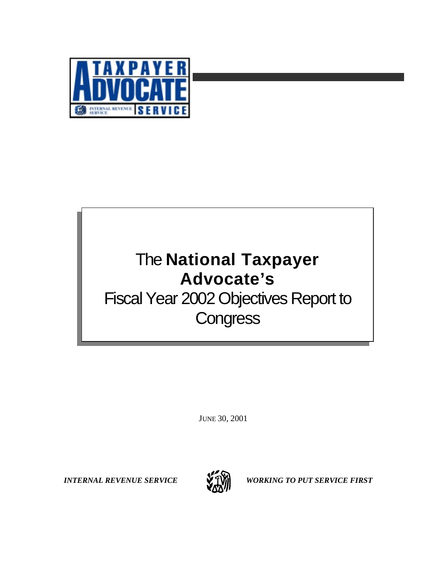

# The **National Taxpayer Advocate's** Fiscal Year 2002 Objectives Report to **Congress**

JUNE 30, 2001



*INTERNAL REVENUE SERVICE* WORKING TO PUT SERVICE FIRST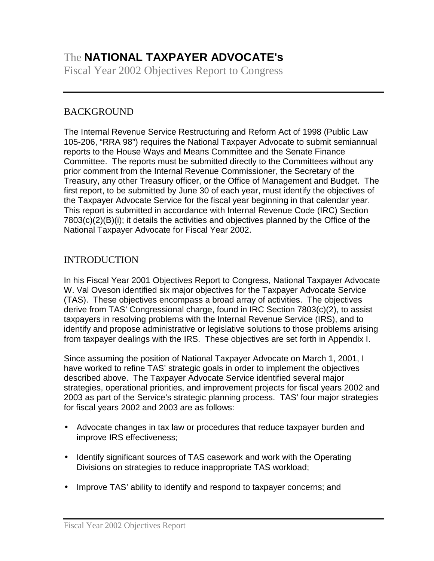# The **NATIONAL TAXPAYER ADVOCATE's**

Fiscal Year 2002 Objectives Report to Congress

# **BACKGROUND**

The Internal Revenue Service Restructuring and Reform Act of 1998 (Public Law 105-206, "RRA 98") requires the National Taxpayer Advocate to submit semiannual reports to the House Ways and Means Committee and the Senate Finance Committee. The reports must be submitted directly to the Committees without any prior comment from the Internal Revenue Commissioner, the Secretary of the Treasury, any other Treasury officer, or the Office of Management and Budget. The first report, to be submitted by June 30 of each year, must identify the objectives of the Taxpayer Advocate Service for the fiscal year beginning in that calendar year. This report is submitted in accordance with Internal Revenue Code (IRC) Section 7803(c)(2)(B)(i); it details the activities and objectives planned by the Office of the National Taxpayer Advocate for Fiscal Year 2002.

# INTRODUCTION

In his Fiscal Year 2001 Objectives Report to Congress, National Taxpayer Advocate W. Val Oveson identified six major objectives for the Taxpayer Advocate Service (TAS). These objectives encompass a broad array of activities. The objectives derive from TAS' Congressional charge, found in IRC Section 7803(c)(2), to assist taxpayers in resolving problems with the Internal Revenue Service (IRS), and to identify and propose administrative or legislative solutions to those problems arising from taxpayer dealings with the IRS. These objectives are set forth in Appendix I.

Since assuming the position of National Taxpayer Advocate on March 1, 2001, I have worked to refine TAS' strategic goals in order to implement the objectives described above. The Taxpayer Advocate Service identified several major strategies, operational priorities, and improvement projects for fiscal years 2002 and 2003 as part of the Service's strategic planning process. TAS' four major strategies for fiscal years 2002 and 2003 are as follows:

- Advocate changes in tax law or procedures that reduce taxpayer burden and improve IRS effectiveness;
- Identify significant sources of TAS casework and work with the Operating Divisions on strategies to reduce inappropriate TAS workload;
- Improve TAS' ability to identify and respond to taxpayer concerns; and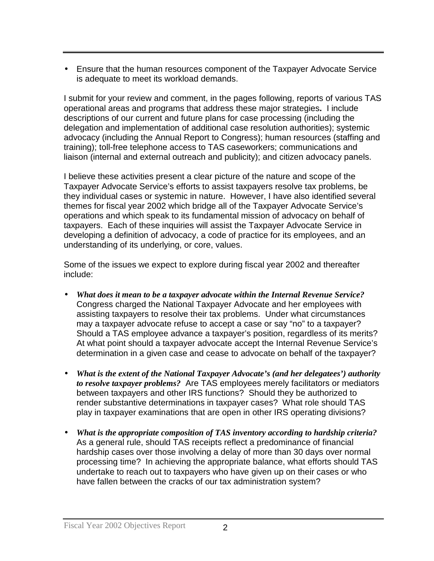• Ensure that the human resources component of the Taxpayer Advocate Service is adequate to meet its workload demands.

I submit for your review and comment, in the pages following, reports of various TAS operational areas and programs that address these major strategies**.** I include descriptions of our current and future plans for case processing (including the delegation and implementation of additional case resolution authorities); systemic advocacy (including the Annual Report to Congress); human resources (staffing and training); toll-free telephone access to TAS caseworkers; communications and liaison (internal and external outreach and publicity); and citizen advocacy panels.

I believe these activities present a clear picture of the nature and scope of the Taxpayer Advocate Service's efforts to assist taxpayers resolve tax problems, be they individual cases or systemic in nature. However, I have also identified several themes for fiscal year 2002 which bridge all of the Taxpayer Advocate Service's operations and which speak to its fundamental mission of advocacy on behalf of taxpayers. Each of these inquiries will assist the Taxpayer Advocate Service in developing a definition of advocacy, a code of practice for its employees, and an understanding of its underlying, or core, values.

Some of the issues we expect to explore during fiscal year 2002 and thereafter include:

- *What does it mean to be a taxpayer advocate within the Internal Revenue Service?* Congress charged the National Taxpayer Advocate and her employees with assisting taxpayers to resolve their tax problems. Under what circumstances may a taxpayer advocate refuse to accept a case or say "no" to a taxpayer? Should a TAS employee advance a taxpayer's position, regardless of its merits? At what point should a taxpayer advocate accept the Internal Revenue Service's determination in a given case and cease to advocate on behalf of the taxpayer?
- *What is the extent of the National Taxpayer Advocate's (and her delegatees') authority to resolve taxpayer problems?* Are TAS employees merely facilitators or mediators between taxpayers and other IRS functions? Should they be authorized to render substantive determinations in taxpayer cases? What role should TAS play in taxpayer examinations that are open in other IRS operating divisions?
- *What is the appropriate composition of TAS inventory according to hardship criteria?* As a general rule, should TAS receipts reflect a predominance of financial hardship cases over those involving a delay of more than 30 days over normal processing time? In achieving the appropriate balance, what efforts should TAS undertake to reach out to taxpayers who have given up on their cases or who have fallen between the cracks of our tax administration system?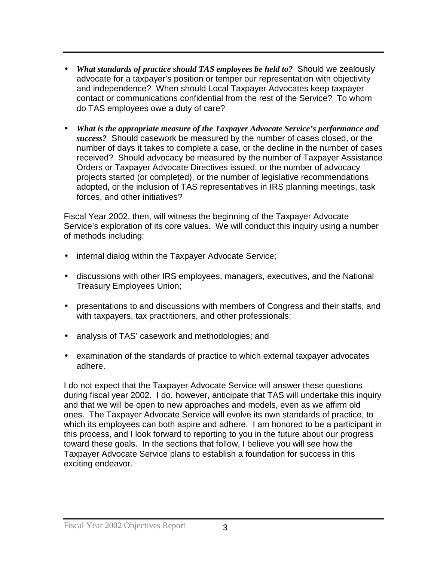- *What standards of practice should TAS employees be held to?* Should we zealously advocate for a taxpayer's position or temper our representation with objectivity and independence? When should Local Taxpayer Advocates keep taxpayer contact or communications confidential from the rest of the Service? To whom do TAS employees owe a duty of care?
- *What is the appropriate measure of the Taxpayer Advocate Service's performance and success?* Should casework be measured by the number of cases closed, or the number of days it takes to complete a case, or the decline in the number of cases received? Should advocacy be measured by the number of Taxpayer Assistance Orders or Taxpayer Advocate Directives issued, or the number of advocacy projects started (or completed), or the number of legislative recommendations adopted, or the inclusion of TAS representatives in IRS planning meetings, task forces, and other initiatives?

Fiscal Year 2002, then, will witness the beginning of the Taxpayer Advocate Service's exploration of its core values. We will conduct this inquiry using a number of methods including:

- internal dialog within the Taxpayer Advocate Service;
- discussions with other IRS employees, managers, executives, and the National Treasury Employees Union;
- presentations to and discussions with members of Congress and their staffs, and with taxpayers, tax practitioners, and other professionals;
- analysis of TAS' casework and methodologies; and
- examination of the standards of practice to which external taxpayer advocates adhere.

I do not expect that the Taxpayer Advocate Service will answer these questions during fiscal year 2002. I do, however, anticipate that TAS will undertake this inquiry and that we will be open to new approaches and models, even as we affirm old ones. The Taxpayer Advocate Service will evolve its own standards of practice, to which its employees can both aspire and adhere. I am honored to be a participant in this process, and I look forward to reporting to you in the future about our progress toward these goals. In the sections that follow, I believe you will see how the Taxpayer Advocate Service plans to establish a foundation for success in this exciting endeavor.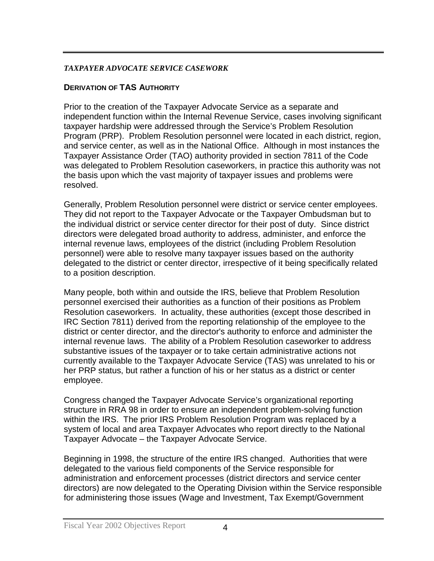#### *TAXPAYER ADVOCATE SERVICE CASEWORK*

# **DERIVATION OF TAS AUTHORITY**

Prior to the creation of the Taxpayer Advocate Service as a separate and independent function within the Internal Revenue Service, cases involving significant taxpayer hardship were addressed through the Service's Problem Resolution Program (PRP). Problem Resolution personnel were located in each district, region, and service center, as well as in the National Office. Although in most instances the Taxpayer Assistance Order (TAO) authority provided in section 7811 of the Code was delegated to Problem Resolution caseworkers, in practice this authority was not the basis upon which the vast majority of taxpayer issues and problems were resolved.

Generally, Problem Resolution personnel were district or service center employees. They did not report to the Taxpayer Advocate or the Taxpayer Ombudsman but to the individual district or service center director for their post of duty. Since district directors were delegated broad authority to address, administer, and enforce the internal revenue laws, employees of the district (including Problem Resolution personnel) were able to resolve many taxpayer issues based on the authority delegated to the district or center director, irrespective of it being specifically related to a position description.

Many people, both within and outside the IRS, believe that Problem Resolution personnel exercised their authorities as a function of their positions as Problem Resolution caseworkers. In actuality, these authorities (except those described in IRC Section 7811) derived from the reporting relationship of the employee to the district or center director, and the director's authority to enforce and administer the internal revenue laws. The ability of a Problem Resolution caseworker to address substantive issues of the taxpayer or to take certain administrative actions not currently available to the Taxpayer Advocate Service (TAS) was unrelated to his or her PRP status, but rather a function of his or her status as a district or center employee.

Congress changed the Taxpayer Advocate Service's organizational reporting structure in RRA 98 in order to ensure an independent problem-solving function within the IRS. The prior IRS Problem Resolution Program was replaced by a system of local and area Taxpayer Advocates who report directly to the National Taxpayer Advocate – the Taxpayer Advocate Service.

Beginning in 1998, the structure of the entire IRS changed. Authorities that were delegated to the various field components of the Service responsible for administration and enforcement processes (district directors and service center directors) are now delegated to the Operating Division within the Service responsible for administering those issues (Wage and Investment, Tax Exempt/Government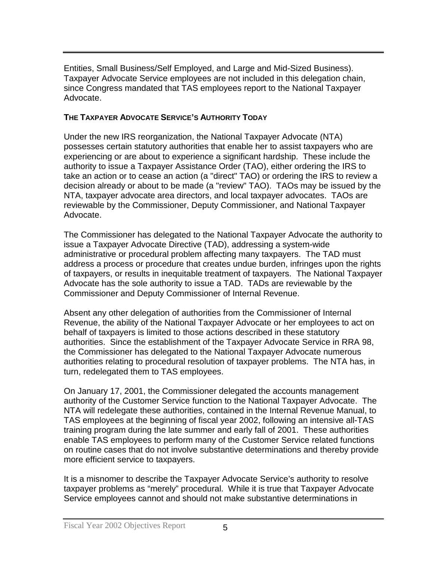Entities, Small Business/Self Employed, and Large and Mid-Sized Business). Taxpayer Advocate Service employees are not included in this delegation chain, since Congress mandated that TAS employees report to the National Taxpayer Advocate.

#### **THE TAXPAYER ADVOCATE SERVICE'S AUTHORITY TODAY**

Under the new IRS reorganization, the National Taxpayer Advocate (NTA) possesses certain statutory authorities that enable her to assist taxpayers who are experiencing or are about to experience a significant hardship. These include the authority to issue a Taxpayer Assistance Order (TAO), either ordering the IRS to take an action or to cease an action (a "direct" TAO) or ordering the IRS to review a decision already or about to be made (a "review" TAO). TAOs may be issued by the NTA, taxpayer advocate area directors, and local taxpayer advocates. TAOs are reviewable by the Commissioner, Deputy Commissioner, and National Taxpayer Advocate.

The Commissioner has delegated to the National Taxpayer Advocate the authority to issue a Taxpayer Advocate Directive (TAD), addressing a system-wide administrative or procedural problem affecting many taxpayers. The TAD must address a process or procedure that creates undue burden, infringes upon the rights of taxpayers, or results in inequitable treatment of taxpayers. The National Taxpayer Advocate has the sole authority to issue a TAD. TADs are reviewable by the Commissioner and Deputy Commissioner of Internal Revenue.

Absent any other delegation of authorities from the Commissioner of Internal Revenue, the ability of the National Taxpayer Advocate or her employees to act on behalf of taxpayers is limited to those actions described in these statutory authorities. Since the establishment of the Taxpayer Advocate Service in RRA 98, the Commissioner has delegated to the National Taxpayer Advocate numerous authorities relating to procedural resolution of taxpayer problems. The NTA has, in turn, redelegated them to TAS employees.

On January 17, 2001, the Commissioner delegated the accounts management authority of the Customer Service function to the National Taxpayer Advocate. The NTA will redelegate these authorities, contained in the Internal Revenue Manual, to TAS employees at the beginning of fiscal year 2002, following an intensive all-TAS training program during the late summer and early fall of 2001. These authorities enable TAS employees to perform many of the Customer Service related functions on routine cases that do not involve substantive determinations and thereby provide more efficient service to taxpayers.

It is a misnomer to describe the Taxpayer Advocate Service's authority to resolve taxpayer problems as "merely" procedural. While it is true that Taxpayer Advocate Service employees cannot and should not make substantive determinations in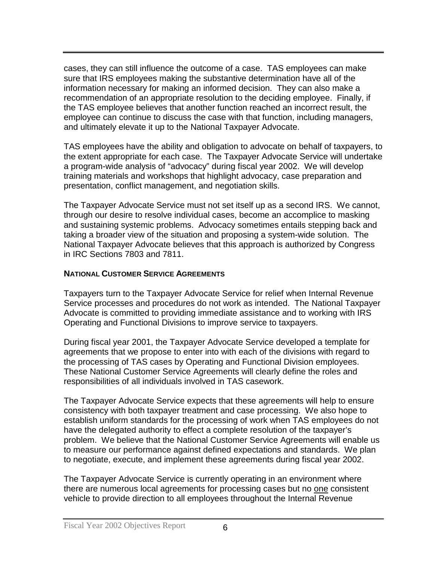cases, they can still influence the outcome of a case. TAS employees can make sure that IRS employees making the substantive determination have all of the information necessary for making an informed decision. They can also make a recommendation of an appropriate resolution to the deciding employee. Finally, if the TAS employee believes that another function reached an incorrect result, the employee can continue to discuss the case with that function, including managers, and ultimately elevate it up to the National Taxpayer Advocate.

TAS employees have the ability and obligation to advocate on behalf of taxpayers, to the extent appropriate for each case. The Taxpayer Advocate Service will undertake a program-wide analysis of "advocacy" during fiscal year 2002. We will develop training materials and workshops that highlight advocacy, case preparation and presentation, conflict management, and negotiation skills.

The Taxpayer Advocate Service must not set itself up as a second IRS. We cannot, through our desire to resolve individual cases, become an accomplice to masking and sustaining systemic problems. Advocacy sometimes entails stepping back and taking a broader view of the situation and proposing a system-wide solution. The National Taxpayer Advocate believes that this approach is authorized by Congress in IRC Sections 7803 and 7811.

#### **NATIONAL CUSTOMER SERVICE AGREEMENTS**

Taxpayers turn to the Taxpayer Advocate Service for relief when Internal Revenue Service processes and procedures do not work as intended. The National Taxpayer Advocate is committed to providing immediate assistance and to working with IRS Operating and Functional Divisions to improve service to taxpayers.

During fiscal year 2001, the Taxpayer Advocate Service developed a template for agreements that we propose to enter into with each of the divisions with regard to the processing of TAS cases by Operating and Functional Division employees. These National Customer Service Agreements will clearly define the roles and responsibilities of all individuals involved in TAS casework.

The Taxpayer Advocate Service expects that these agreements will help to ensure consistency with both taxpayer treatment and case processing. We also hope to establish uniform standards for the processing of work when TAS employees do not have the delegated authority to effect a complete resolution of the taxpayer's problem. We believe that the National Customer Service Agreements will enable us to measure our performance against defined expectations and standards. We plan to negotiate, execute, and implement these agreements during fiscal year 2002.

The Taxpayer Advocate Service is currently operating in an environment where there are numerous local agreements for processing cases but no one consistent vehicle to provide direction to all employees throughout the Internal Revenue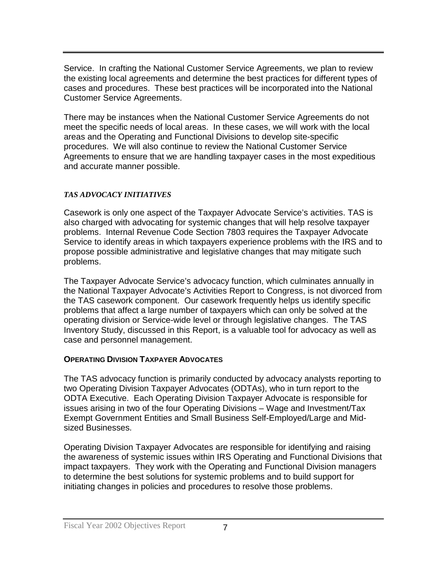Service. In crafting the National Customer Service Agreements, we plan to review the existing local agreements and determine the best practices for different types of cases and procedures. These best practices will be incorporated into the National Customer Service Agreements.

There may be instances when the National Customer Service Agreements do not meet the specific needs of local areas. In these cases, we will work with the local areas and the Operating and Functional Divisions to develop site-specific procedures. We will also continue to review the National Customer Service Agreements to ensure that we are handling taxpayer cases in the most expeditious and accurate manner possible.

# *TAS ADVOCACY INITIATIVES*

Casework is only one aspect of the Taxpayer Advocate Service's activities. TAS is also charged with advocating for systemic changes that will help resolve taxpayer problems. Internal Revenue Code Section 7803 requires the Taxpayer Advocate Service to identify areas in which taxpayers experience problems with the IRS and to propose possible administrative and legislative changes that may mitigate such problems.

The Taxpayer Advocate Service's advocacy function, which culminates annually in the National Taxpayer Advocate's Activities Report to Congress, is not divorced from the TAS casework component. Our casework frequently helps us identify specific problems that affect a large number of taxpayers which can only be solved at the operating division or Service-wide level or through legislative changes. The TAS Inventory Study, discussed in this Report, is a valuable tool for advocacy as well as case and personnel management.

# **OPERATING DIVISION TAXPAYER ADVOCATES**

The TAS advocacy function is primarily conducted by advocacy analysts reporting to two Operating Division Taxpayer Advocates (ODTAs), who in turn report to the ODTA Executive. Each Operating Division Taxpayer Advocate is responsible for issues arising in two of the four Operating Divisions – Wage and Investment/Tax Exempt Government Entities and Small Business Self-Employed/Large and Midsized Businesses.

Operating Division Taxpayer Advocates are responsible for identifying and raising the awareness of systemic issues within IRS Operating and Functional Divisions that impact taxpayers. They work with the Operating and Functional Division managers to determine the best solutions for systemic problems and to build support for initiating changes in policies and procedures to resolve those problems.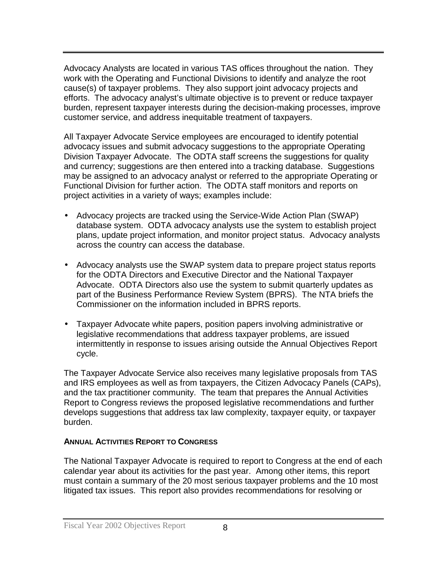Advocacy Analysts are located in various TAS offices throughout the nation. They work with the Operating and Functional Divisions to identify and analyze the root cause(s) of taxpayer problems. They also support joint advocacy projects and efforts. The advocacy analyst's ultimate objective is to prevent or reduce taxpayer burden, represent taxpayer interests during the decision-making processes, improve customer service, and address inequitable treatment of taxpayers.

All Taxpayer Advocate Service employees are encouraged to identify potential advocacy issues and submit advocacy suggestions to the appropriate Operating Division Taxpayer Advocate. The ODTA staff screens the suggestions for quality and currency; suggestions are then entered into a tracking database. Suggestions may be assigned to an advocacy analyst or referred to the appropriate Operating or Functional Division for further action. The ODTA staff monitors and reports on project activities in a variety of ways; examples include:

- Advocacy projects are tracked using the Service-Wide Action Plan (SWAP) database system. ODTA advocacy analysts use the system to establish project plans, update project information, and monitor project status. Advocacy analysts across the country can access the database.
- Advocacy analysts use the SWAP system data to prepare project status reports for the ODTA Directors and Executive Director and the National Taxpayer Advocate. ODTA Directors also use the system to submit quarterly updates as part of the Business Performance Review System (BPRS). The NTA briefs the Commissioner on the information included in BPRS reports.
- Taxpayer Advocate white papers, position papers involving administrative or legislative recommendations that address taxpayer problems, are issued intermittently in response to issues arising outside the Annual Objectives Report cycle.

The Taxpayer Advocate Service also receives many legislative proposals from TAS and IRS employees as well as from taxpayers, the Citizen Advocacy Panels (CAPs), and the tax practitioner community. The team that prepares the Annual Activities Report to Congress reviews the proposed legislative recommendations and further develops suggestions that address tax law complexity, taxpayer equity, or taxpayer burden.

# **ANNUAL ACTIVITIES REPORT TO CONGRESS**

The National Taxpayer Advocate is required to report to Congress at the end of each calendar year about its activities for the past year. Among other items, this report must contain a summary of the 20 most serious taxpayer problems and the 10 most litigated tax issues. This report also provides recommendations for resolving or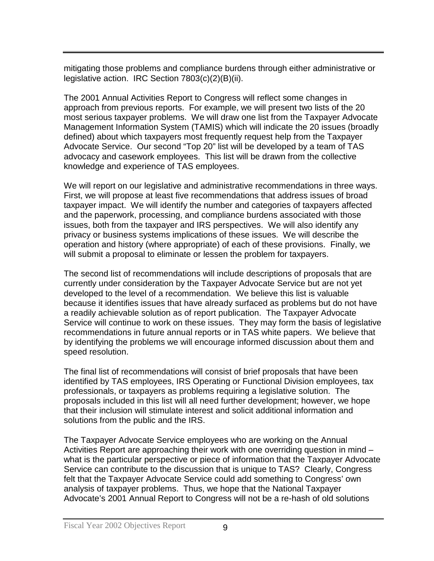mitigating those problems and compliance burdens through either administrative or legislative action. IRC Section 7803(c)(2)(B)(ii).

The 2001 Annual Activities Report to Congress will reflect some changes in approach from previous reports. For example, we will present two lists of the 20 most serious taxpayer problems. We will draw one list from the Taxpayer Advocate Management Information System (TAMIS) which will indicate the 20 issues (broadly defined) about which taxpayers most frequently request help from the Taxpayer Advocate Service. Our second "Top 20" list will be developed by a team of TAS advocacy and casework employees. This list will be drawn from the collective knowledge and experience of TAS employees.

We will report on our legislative and administrative recommendations in three ways. First, we will propose at least five recommendations that address issues of broad taxpayer impact. We will identify the number and categories of taxpayers affected and the paperwork, processing, and compliance burdens associated with those issues, both from the taxpayer and IRS perspectives. We will also identify any privacy or business systems implications of these issues. We will describe the operation and history (where appropriate) of each of these provisions. Finally, we will submit a proposal to eliminate or lessen the problem for taxpayers.

The second list of recommendations will include descriptions of proposals that are currently under consideration by the Taxpayer Advocate Service but are not yet developed to the level of a recommendation. We believe this list is valuable because it identifies issues that have already surfaced as problems but do not have a readily achievable solution as of report publication. The Taxpayer Advocate Service will continue to work on these issues. They may form the basis of legislative recommendations in future annual reports or in TAS white papers. We believe that by identifying the problems we will encourage informed discussion about them and speed resolution.

The final list of recommendations will consist of brief proposals that have been identified by TAS employees, IRS Operating or Functional Division employees, tax professionals, or taxpayers as problems requiring a legislative solution. The proposals included in this list will all need further development; however, we hope that their inclusion will stimulate interest and solicit additional information and solutions from the public and the IRS.

The Taxpayer Advocate Service employees who are working on the Annual Activities Report are approaching their work with one overriding question in mind – what is the particular perspective or piece of information that the Taxpayer Advocate Service can contribute to the discussion that is unique to TAS? Clearly, Congress felt that the Taxpayer Advocate Service could add something to Congress' own analysis of taxpayer problems. Thus, we hope that the National Taxpayer Advocate's 2001 Annual Report to Congress will not be a re-hash of old solutions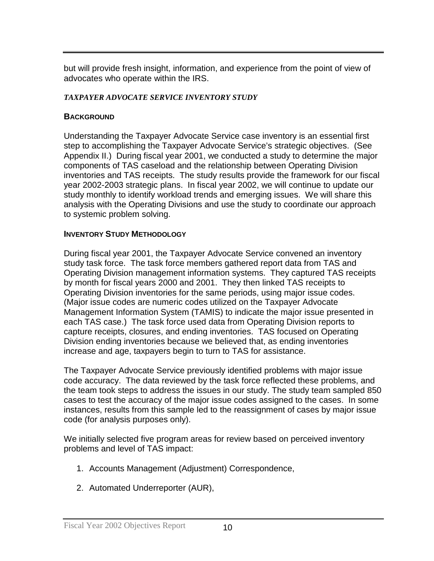but will provide fresh insight, information, and experience from the point of view of advocates who operate within the IRS.

#### *TAXPAYER ADVOCATE SERVICE INVENTORY STUDY*

# **BACKGROUND**

Understanding the Taxpayer Advocate Service case inventory is an essential first step to accomplishing the Taxpayer Advocate Service's strategic objectives. (See Appendix II.) During fiscal year 2001, we conducted a study to determine the major components of TAS caseload and the relationship between Operating Division inventories and TAS receipts. The study results provide the framework for our fiscal year 2002-2003 strategic plans. In fiscal year 2002, we will continue to update our study monthly to identify workload trends and emerging issues. We will share this analysis with the Operating Divisions and use the study to coordinate our approach to systemic problem solving.

# **INVENTORY STUDY METHODOLOGY**

During fiscal year 2001, the Taxpayer Advocate Service convened an inventory study task force. The task force members gathered report data from TAS and Operating Division management information systems. They captured TAS receipts by month for fiscal years 2000 and 2001. They then linked TAS receipts to Operating Division inventories for the same periods, using major issue codes. (Major issue codes are numeric codes utilized on the Taxpayer Advocate Management Information System (TAMIS) to indicate the major issue presented in each TAS case.) The task force used data from Operating Division reports to capture receipts, closures, and ending inventories. TAS focused on Operating Division ending inventories because we believed that, as ending inventories increase and age, taxpayers begin to turn to TAS for assistance.

The Taxpayer Advocate Service previously identified problems with major issue code accuracy. The data reviewed by the task force reflected these problems, and the team took steps to address the issues in our study. The study team sampled 850 cases to test the accuracy of the major issue codes assigned to the cases. In some instances, results from this sample led to the reassignment of cases by major issue code (for analysis purposes only).

We initially selected five program areas for review based on perceived inventory problems and level of TAS impact:

- 1. Accounts Management (Adjustment) Correspondence,
- 2. Automated Underreporter (AUR),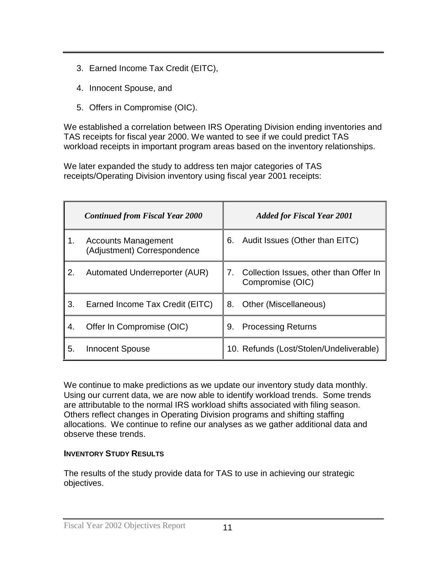- 3. Earned Income Tax Credit (EITC),
- 4. Innocent Spouse, and
- 5. Offers in Compromise (OIC).

We established a correlation between IRS Operating Division ending inventories and TAS receipts for fiscal year 2000. We wanted to see if we could predict TAS workload receipts in important program areas based on the inventory relationships.

We later expanded the study to address ten major categories of TAS receipts/Operating Division inventory using fiscal year 2001 receipts:

|    | <b>Continued from Fiscal Year 2000</b>                    | <b>Added for Fiscal Year 2001</b>                                |
|----|-----------------------------------------------------------|------------------------------------------------------------------|
| 1. | <b>Accounts Management</b><br>(Adjustment) Correspondence | Audit Issues (Other than EITC)<br>6.                             |
| 2. | Automated Underreporter (AUR)                             | Collection Issues, other than Offer In<br>7.<br>Compromise (OIC) |
| 3. | Earned Income Tax Credit (EITC)                           | 8.<br>Other (Miscellaneous)                                      |
| 4. | Offer In Compromise (OIC)                                 | 9.<br><b>Processing Returns</b>                                  |
| 5. | <b>Innocent Spouse</b>                                    | 10. Refunds (Lost/Stolen/Undeliverable)                          |

We continue to make predictions as we update our inventory study data monthly. Using our current data, we are now able to identify workload trends. Some trends are attributable to the normal IRS workload shifts associated with filing season. Others reflect changes in Operating Division programs and shifting staffing allocations. We continue to refine our analyses as we gather additional data and observe these trends.

# **INVENTORY STUDY RESULTS**

The results of the study provide data for TAS to use in achieving our strategic objectives.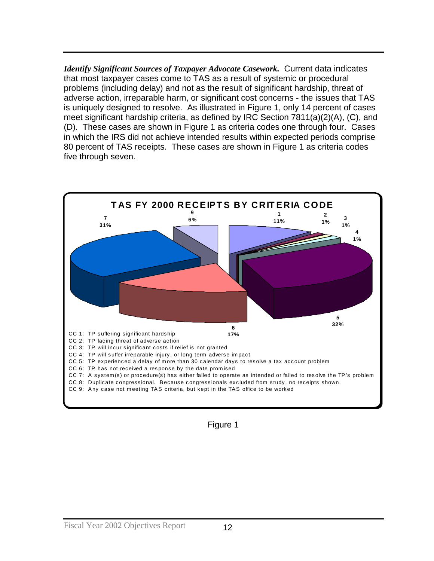*Identify Significant Sources of Taxpayer Advocate Casework.* Current data indicates that most taxpayer cases come to TAS as a result of systemic or procedural problems (including delay) and not as the result of significant hardship, threat of adverse action, irreparable harm, or significant cost concerns - the issues that TAS is uniquely designed to resolve. As illustrated in Figure 1, only 14 percent of cases meet significant hardship criteria, as defined by IRC Section 7811(a)(2)(A), (C), and (D). These cases are shown in Figure 1 as criteria codes one through four. Cases in which the IRS did not achieve intended results within expected periods comprise 80 percent of TAS receipts. These cases are shown in Figure 1 as criteria codes five through seven.



Figure 1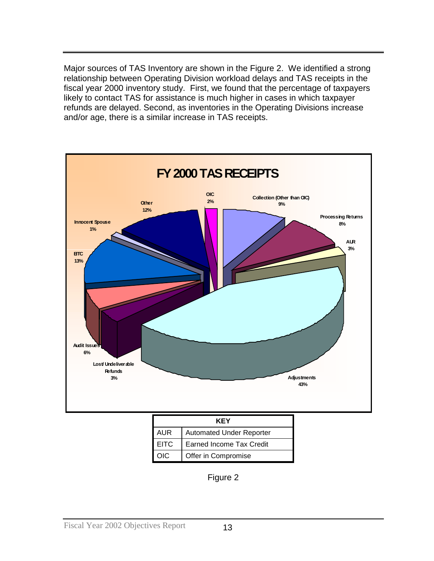Major sources of TAS Inventory are shown in the Figure 2. We identified a strong relationship between Operating Division workload delays and TAS receipts in the fiscal year 2000 inventory study. First, we found that the percentage of taxpayers likely to contact TAS for assistance is much higher in cases in which taxpayer refunds are delayed. Second, as inventories in the Operating Divisions increase and/or age, there is a similar increase in TAS receipts.



Figure 2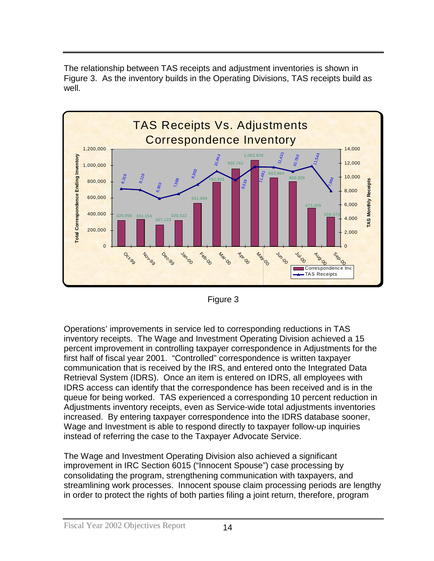The relationship between TAS receipts and adjustment inventories is shown in Figure 3. As the inventory builds in the Operating Divisions, TAS receipts build as well.





Operations' improvements in service led to corresponding reductions in TAS inventory receipts. The Wage and Investment Operating Division achieved a 15 percent improvement in controlling taxpayer correspondence in Adjustments for the first half of fiscal year 2001. "Controlled" correspondence is written taxpayer communication that is received by the IRS, and entered onto the Integrated Data Retrieval System (IDRS). Once an item is entered on IDRS, all employees with IDRS access can identify that the correspondence has been received and is in the queue for being worked. TAS experienced a corresponding 10 percent reduction in Adjustments inventory receipts, even as Service-wide total adjustments inventories increased. By entering taxpayer correspondence into the IDRS database sooner, Wage and Investment is able to respond directly to taxpayer follow-up inquiries instead of referring the case to the Taxpayer Advocate Service.

The Wage and Investment Operating Division also achieved a significant improvement in IRC Section 6015 ("Innocent Spouse") case processing by consolidating the program, strengthening communication with taxpayers, and streamlining work processes. Innocent spouse claim processing periods are lengthy in order to protect the rights of both parties filing a joint return, therefore, program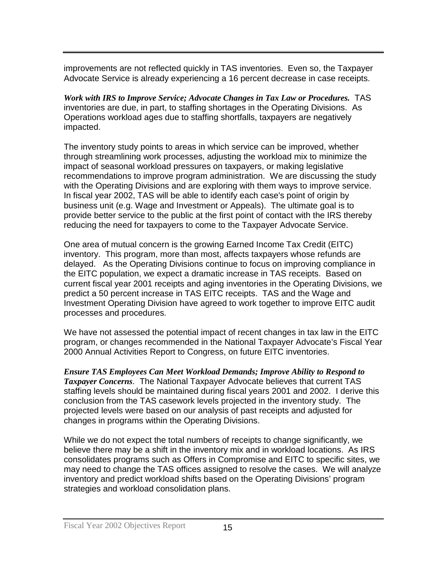improvements are not reflected quickly in TAS inventories. Even so, the Taxpayer Advocate Service is already experiencing a 16 percent decrease in case receipts.

*Work with IRS to Improve Service; Advocate Changes in Tax Law or Procedures.* TAS inventories are due, in part, to staffing shortages in the Operating Divisions. As Operations workload ages due to staffing shortfalls, taxpayers are negatively impacted.

The inventory study points to areas in which service can be improved, whether through streamlining work processes, adjusting the workload mix to minimize the impact of seasonal workload pressures on taxpayers, or making legislative recommendations to improve program administration. We are discussing the study with the Operating Divisions and are exploring with them ways to improve service. In fiscal year 2002, TAS will be able to identify each case's point of origin by business unit (e.g. Wage and Investment or Appeals). The ultimate goal is to provide better service to the public at the first point of contact with the IRS thereby reducing the need for taxpayers to come to the Taxpayer Advocate Service.

One area of mutual concern is the growing Earned Income Tax Credit (EITC) inventory. This program, more than most, affects taxpayers whose refunds are delayed. As the Operating Divisions continue to focus on improving compliance in the EITC population, we expect a dramatic increase in TAS receipts. Based on current fiscal year 2001 receipts and aging inventories in the Operating Divisions, we predict a 50 percent increase in TAS EITC receipts. TAS and the Wage and Investment Operating Division have agreed to work together to improve EITC audit processes and procedures.

We have not assessed the potential impact of recent changes in tax law in the EITC program, or changes recommended in the National Taxpayer Advocate's Fiscal Year 2000 Annual Activities Report to Congress, on future EITC inventories.

*Ensure TAS Employees Can Meet Workload Demands; Improve Ability to Respond to Taxpayer Concerns*. The National Taxpayer Advocate believes that current TAS staffing levels should be maintained during fiscal years 2001 and 2002. I derive this conclusion from the TAS casework levels projected in the inventory study. The projected levels were based on our analysis of past receipts and adjusted for changes in programs within the Operating Divisions.

While we do not expect the total numbers of receipts to change significantly, we believe there may be a shift in the inventory mix and in workload locations. As IRS consolidates programs such as Offers in Compromise and EITC to specific sites, we may need to change the TAS offices assigned to resolve the cases. We will analyze inventory and predict workload shifts based on the Operating Divisions' program strategies and workload consolidation plans.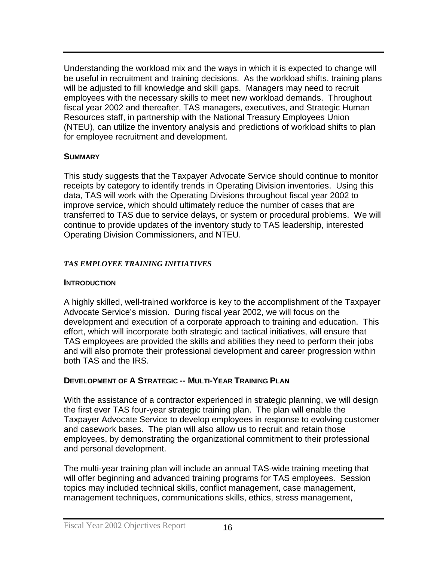Understanding the workload mix and the ways in which it is expected to change will be useful in recruitment and training decisions. As the workload shifts, training plans will be adjusted to fill knowledge and skill gaps. Managers may need to recruit employees with the necessary skills to meet new workload demands. Throughout fiscal year 2002 and thereafter, TAS managers, executives, and Strategic Human Resources staff, in partnership with the National Treasury Employees Union (NTEU), can utilize the inventory analysis and predictions of workload shifts to plan for employee recruitment and development.

#### **SUMMARY**

This study suggests that the Taxpayer Advocate Service should continue to monitor receipts by category to identify trends in Operating Division inventories. Using this data, TAS will work with the Operating Divisions throughout fiscal year 2002 to improve service, which should ultimately reduce the number of cases that are transferred to TAS due to service delays, or system or procedural problems. We will continue to provide updates of the inventory study to TAS leadership, interested Operating Division Commissioners, and NTEU.

# *TAS EMPLOYEE TRAINING INITIATIVES*

#### **INTRODUCTION**

A highly skilled, well-trained workforce is key to the accomplishment of the Taxpayer Advocate Service's mission. During fiscal year 2002, we will focus on the development and execution of a corporate approach to training and education. This effort, which will incorporate both strategic and tactical initiatives, will ensure that TAS employees are provided the skills and abilities they need to perform their jobs and will also promote their professional development and career progression within both TAS and the IRS.

# **DEVELOPMENT OF A STRATEGIC -- MULTI-YEAR TRAINING PLAN**

With the assistance of a contractor experienced in strategic planning, we will design the first ever TAS four-year strategic training plan. The plan will enable the Taxpayer Advocate Service to develop employees in response to evolving customer and casework bases. The plan will also allow us to recruit and retain those employees, by demonstrating the organizational commitment to their professional and personal development.

The multi-year training plan will include an annual TAS-wide training meeting that will offer beginning and advanced training programs for TAS employees. Session topics may included technical skills, conflict management, case management, management techniques, communications skills, ethics, stress management,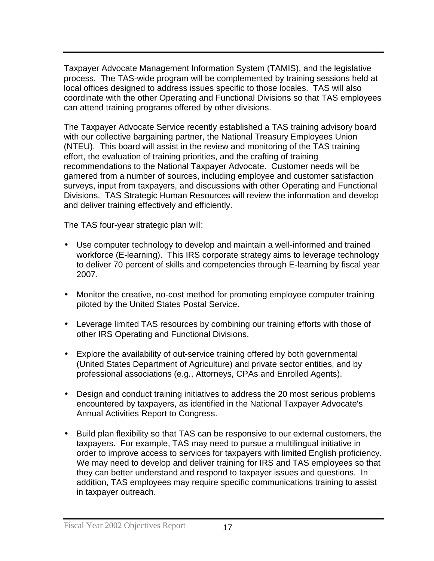Taxpayer Advocate Management Information System (TAMIS), and the legislative process. The TAS-wide program will be complemented by training sessions held at local offices designed to address issues specific to those locales. TAS will also coordinate with the other Operating and Functional Divisions so that TAS employees can attend training programs offered by other divisions.

The Taxpayer Advocate Service recently established a TAS training advisory board with our collective bargaining partner, the National Treasury Employees Union (NTEU). This board will assist in the review and monitoring of the TAS training effort, the evaluation of training priorities, and the crafting of training recommendations to the National Taxpayer Advocate. Customer needs will be garnered from a number of sources, including employee and customer satisfaction surveys, input from taxpayers, and discussions with other Operating and Functional Divisions. TAS Strategic Human Resources will review the information and develop and deliver training effectively and efficiently.

The TAS four-year strategic plan will:

- Use computer technology to develop and maintain a well-informed and trained workforce (E-learning). This IRS corporate strategy aims to leverage technology to deliver 70 percent of skills and competencies through E-learning by fiscal year 2007.
- Monitor the creative, no-cost method for promoting employee computer training piloted by the United States Postal Service.
- Leverage limited TAS resources by combining our training efforts with those of other IRS Operating and Functional Divisions.
- Explore the availability of out-service training offered by both governmental (United States Department of Agriculture) and private sector entities, and by professional associations (e.g., Attorneys, CPAs and Enrolled Agents).
- Design and conduct training initiatives to address the 20 most serious problems encountered by taxpayers, as identified in the National Taxpayer Advocate's Annual Activities Report to Congress.
- Build plan flexibility so that TAS can be responsive to our external customers, the taxpayers. For example, TAS may need to pursue a multilingual initiative in order to improve access to services for taxpayers with limited English proficiency. We may need to develop and deliver training for IRS and TAS employees so that they can better understand and respond to taxpayer issues and questions. In addition, TAS employees may require specific communications training to assist in taxpayer outreach.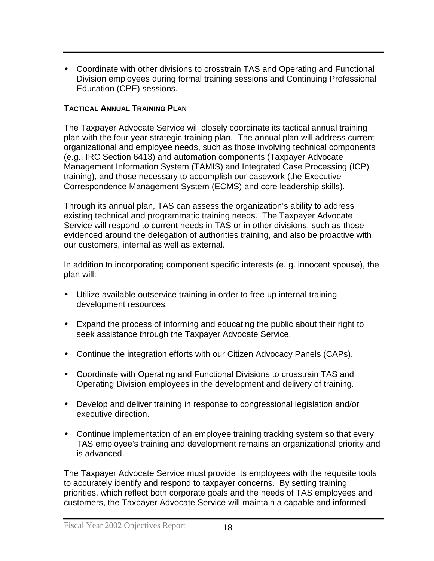• Coordinate with other divisions to crosstrain TAS and Operating and Functional Division employees during formal training sessions and Continuing Professional Education (CPE) sessions.

# **TACTICAL ANNUAL TRAINING PLAN**

The Taxpayer Advocate Service will closely coordinate its tactical annual training plan with the four year strategic training plan. The annual plan will address current organizational and employee needs, such as those involving technical components (e.g., IRC Section 6413) and automation components (Taxpayer Advocate Management Information System (TAMIS) and Integrated Case Processing (ICP) training), and those necessary to accomplish our casework (the Executive Correspondence Management System (ECMS) and core leadership skills).

Through its annual plan, TAS can assess the organization's ability to address existing technical and programmatic training needs. The Taxpayer Advocate Service will respond to current needs in TAS or in other divisions, such as those evidenced around the delegation of authorities training, and also be proactive with our customers, internal as well as external.

In addition to incorporating component specific interests (e. g. innocent spouse), the plan will:

- Utilize available outservice training in order to free up internal training development resources.
- Expand the process of informing and educating the public about their right to seek assistance through the Taxpayer Advocate Service.
- Continue the integration efforts with our Citizen Advocacy Panels (CAPs).
- Coordinate with Operating and Functional Divisions to crosstrain TAS and Operating Division employees in the development and delivery of training.
- Develop and deliver training in response to congressional legislation and/or executive direction.
- Continue implementation of an employee training tracking system so that every TAS employee's training and development remains an organizational priority and is advanced.

The Taxpayer Advocate Service must provide its employees with the requisite tools to accurately identify and respond to taxpayer concerns. By setting training priorities, which reflect both corporate goals and the needs of TAS employees and customers, the Taxpayer Advocate Service will maintain a capable and informed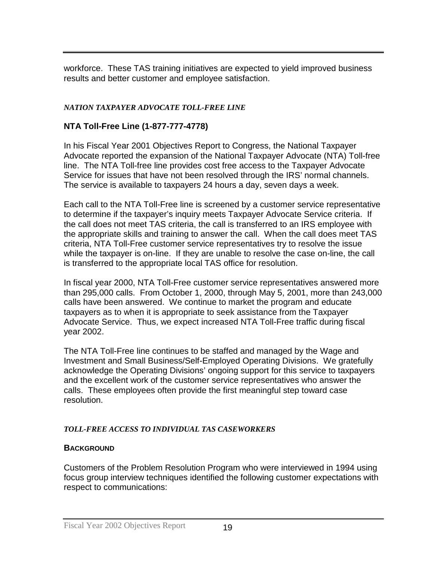workforce. These TAS training initiatives are expected to yield improved business results and better customer and employee satisfaction.

# *NATION TAXPAYER ADVOCATE TOLL-FREE LINE*

# **NTA Toll-Free Line (1-877-777-4778)**

In his Fiscal Year 2001 Objectives Report to Congress, the National Taxpayer Advocate reported the expansion of the National Taxpayer Advocate (NTA) Toll-free line. The NTA Toll-free line provides cost free access to the Taxpayer Advocate Service for issues that have not been resolved through the IRS' normal channels. The service is available to taxpayers 24 hours a day, seven days a week.

Each call to the NTA Toll-Free line is screened by a customer service representative to determine if the taxpayer's inquiry meets Taxpayer Advocate Service criteria. If the call does not meet TAS criteria, the call is transferred to an IRS employee with the appropriate skills and training to answer the call. When the call does meet TAS criteria, NTA Toll-Free customer service representatives try to resolve the issue while the taxpayer is on-line. If they are unable to resolve the case on-line, the call is transferred to the appropriate local TAS office for resolution.

In fiscal year 2000, NTA Toll-Free customer service representatives answered more than 295,000 calls. From October 1, 2000, through May 5, 2001, more than 243,000 calls have been answered. We continue to market the program and educate taxpayers as to when it is appropriate to seek assistance from the Taxpayer Advocate Service. Thus, we expect increased NTA Toll-Free traffic during fiscal year 2002.

The NTA Toll-Free line continues to be staffed and managed by the Wage and Investment and Small Business/Self-Employed Operating Divisions. We gratefully acknowledge the Operating Divisions' ongoing support for this service to taxpayers and the excellent work of the customer service representatives who answer the calls. These employees often provide the first meaningful step toward case resolution.

# *TOLL-FREE ACCESS TO INDIVIDUAL TAS CASEWORKERS*

# **BACKGROUND**

Customers of the Problem Resolution Program who were interviewed in 1994 using focus group interview techniques identified the following customer expectations with respect to communications: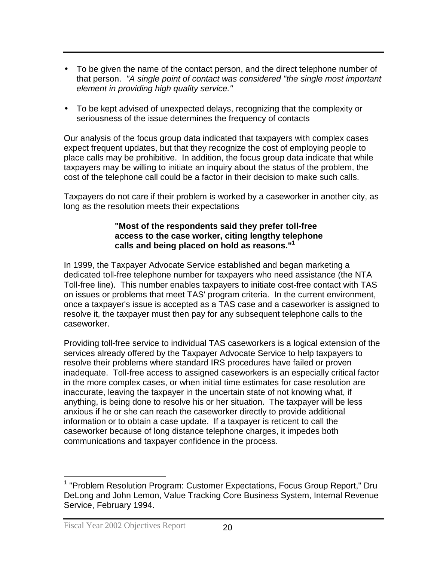- To be given the name of the contact person, and the direct telephone number of that person. *"A single point of contact was considered "the single most important element in providing high quality service."*
- To be kept advised of unexpected delays, recognizing that the complexity or seriousness of the issue determines the frequency of contacts

Our analysis of the focus group data indicated that taxpayers with complex cases expect frequent updates, but that they recognize the cost of employing people to place calls may be prohibitive. In addition, the focus group data indicate that while taxpayers may be willing to initiate an inquiry about the status of the problem, the cost of the telephone call could be a factor in their decision to make such calls.

Taxpayers do not care if their problem is worked by a caseworker in another city, as long as the resolution meets their expectations

#### **"Most of the respondents said they prefer toll-free access to the case worker, citing lengthy telephone calls and being placed on hold as reasons."1**

In 1999, the Taxpayer Advocate Service established and began marketing a dedicated toll-free telephone number for taxpayers who need assistance (the NTA Toll-free line). This number enables taxpayers to initiate cost-free contact with TAS on issues or problems that meet TAS' program criteria. In the current environment, once a taxpayer's issue is accepted as a TAS case and a caseworker is assigned to resolve it, the taxpayer must then pay for any subsequent telephone calls to the caseworker.

Providing toll-free service to individual TAS caseworkers is a logical extension of the services already offered by the Taxpayer Advocate Service to help taxpayers to resolve their problems where standard IRS procedures have failed or proven inadequate. Toll-free access to assigned caseworkers is an especially critical factor in the more complex cases, or when initial time estimates for case resolution are inaccurate, leaving the taxpayer in the uncertain state of not knowing what, if anything, is being done to resolve his or her situation. The taxpayer will be less anxious if he or she can reach the caseworker directly to provide additional information or to obtain a case update. If a taxpayer is reticent to call the caseworker because of long distance telephone charges, it impedes both communications and taxpayer confidence in the process.

l

<sup>&</sup>lt;sup>1</sup> "Problem Resolution Program: Customer Expectations, Focus Group Report," Dru DeLong and John Lemon, Value Tracking Core Business System, Internal Revenue Service, February 1994.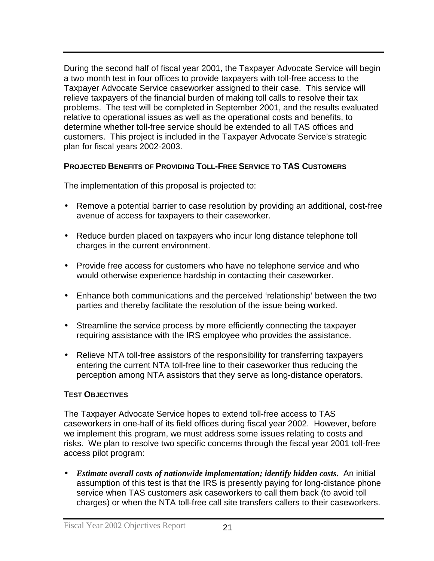During the second half of fiscal year 2001, the Taxpayer Advocate Service will begin a two month test in four offices to provide taxpayers with toll-free access to the Taxpayer Advocate Service caseworker assigned to their case. This service will relieve taxpayers of the financial burden of making toll calls to resolve their tax problems. The test will be completed in September 2001, and the results evaluated relative to operational issues as well as the operational costs and benefits, to determine whether toll-free service should be extended to all TAS offices and customers. This project is included in the Taxpayer Advocate Service's strategic plan for fiscal years 2002-2003.

#### **PROJECTED BENEFITS OF PROVIDING TOLL-FREE SERVICE TO TAS CUSTOMERS**

The implementation of this proposal is projected to:

- Remove a potential barrier to case resolution by providing an additional, cost-free avenue of access for taxpayers to their caseworker.
- Reduce burden placed on taxpayers who incur long distance telephone toll charges in the current environment.
- Provide free access for customers who have no telephone service and who would otherwise experience hardship in contacting their caseworker.
- Enhance both communications and the perceived 'relationship' between the two parties and thereby facilitate the resolution of the issue being worked.
- Streamline the service process by more efficiently connecting the taxpayer requiring assistance with the IRS employee who provides the assistance.
- Relieve NTA toll-free assistors of the responsibility for transferring taxpayers entering the current NTA toll-free line to their caseworker thus reducing the perception among NTA assistors that they serve as long-distance operators.

# **TEST OBJECTIVES**

The Taxpayer Advocate Service hopes to extend toll-free access to TAS caseworkers in one-half of its field offices during fiscal year 2002. However, before we implement this program, we must address some issues relating to costs and risks. We plan to resolve two specific concerns through the fiscal year 2001 toll-free access pilot program:

• *Estimate overall costs of nationwide implementation; identify hidden costs***.** An initial assumption of this test is that the IRS is presently paying for long-distance phone service when TAS customers ask caseworkers to call them back (to avoid toll charges) or when the NTA toll-free call site transfers callers to their caseworkers.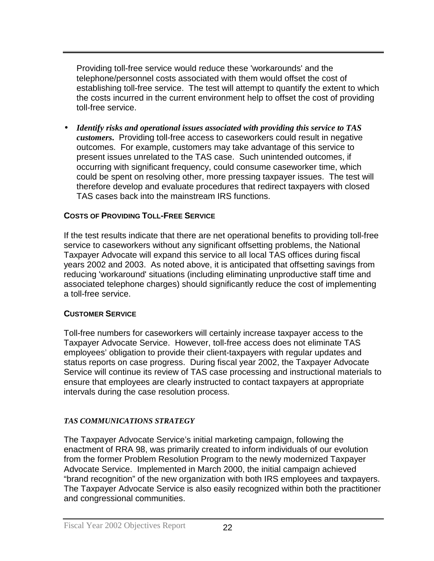Providing toll-free service would reduce these 'workarounds' and the telephone/personnel costs associated with them would offset the cost of establishing toll-free service. The test will attempt to quantify the extent to which the costs incurred in the current environment help to offset the cost of providing toll-free service.

• *Identify risks and operational issues associated with providing this service to TAS customers***.** Providing toll-free access to caseworkers could result in negative outcomes. For example, customers may take advantage of this service to present issues unrelated to the TAS case. Such unintended outcomes, if occurring with significant frequency, could consume caseworker time, which could be spent on resolving other, more pressing taxpayer issues. The test will therefore develop and evaluate procedures that redirect taxpayers with closed TAS cases back into the mainstream IRS functions.

# **COSTS OF PROVIDING TOLL-FREE SERVICE**

If the test results indicate that there are net operational benefits to providing toll-free service to caseworkers without any significant offsetting problems, the National Taxpayer Advocate will expand this service to all local TAS offices during fiscal years 2002 and 2003. As noted above, it is anticipated that offsetting savings from reducing 'workaround' situations (including eliminating unproductive staff time and associated telephone charges) should significantly reduce the cost of implementing a toll-free service.

# **CUSTOMER SERVICE**

Toll-free numbers for caseworkers will certainly increase taxpayer access to the Taxpayer Advocate Service. However, toll-free access does not eliminate TAS employees' obligation to provide their client-taxpayers with regular updates and status reports on case progress. During fiscal year 2002, the Taxpayer Advocate Service will continue its review of TAS case processing and instructional materials to ensure that employees are clearly instructed to contact taxpayers at appropriate intervals during the case resolution process.

# *TAS COMMUNICATIONS STRATEGY*

The Taxpayer Advocate Service's initial marketing campaign, following the enactment of RRA 98, was primarily created to inform individuals of our evolution from the former Problem Resolution Program to the newly modernized Taxpayer Advocate Service. Implemented in March 2000, the initial campaign achieved "brand recognition" of the new organization with both IRS employees and taxpayers. The Taxpayer Advocate Service is also easily recognized within both the practitioner and congressional communities.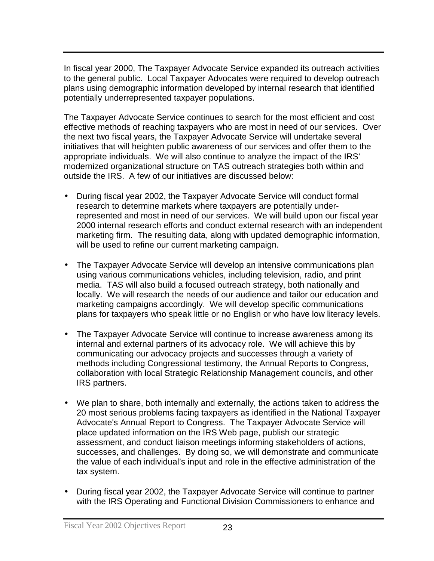In fiscal year 2000, The Taxpayer Advocate Service expanded its outreach activities to the general public. Local Taxpayer Advocates were required to develop outreach plans using demographic information developed by internal research that identified potentially underrepresented taxpayer populations.

The Taxpayer Advocate Service continues to search for the most efficient and cost effective methods of reaching taxpayers who are most in need of our services. Over the next two fiscal years, the Taxpayer Advocate Service will undertake several initiatives that will heighten public awareness of our services and offer them to the appropriate individuals. We will also continue to analyze the impact of the IRS' modernized organizational structure on TAS outreach strategies both within and outside the IRS. A few of our initiatives are discussed below:

- During fiscal year 2002, the Taxpayer Advocate Service will conduct formal research to determine markets where taxpayers are potentially underrepresented and most in need of our services. We will build upon our fiscal year 2000 internal research efforts and conduct external research with an independent marketing firm. The resulting data, along with updated demographic information, will be used to refine our current marketing campaign.
- The Taxpayer Advocate Service will develop an intensive communications plan using various communications vehicles, including television, radio, and print media. TAS will also build a focused outreach strategy, both nationally and locally. We will research the needs of our audience and tailor our education and marketing campaigns accordingly. We will develop specific communications plans for taxpayers who speak little or no English or who have low literacy levels.
- The Taxpayer Advocate Service will continue to increase awareness among its internal and external partners of its advocacy role. We will achieve this by communicating our advocacy projects and successes through a variety of methods including Congressional testimony, the Annual Reports to Congress, collaboration with local Strategic Relationship Management councils, and other IRS partners.
- We plan to share, both internally and externally, the actions taken to address the 20 most serious problems facing taxpayers as identified in the National Taxpayer Advocate's Annual Report to Congress. The Taxpayer Advocate Service will place updated information on the IRS Web page, publish our strategic assessment, and conduct liaison meetings informing stakeholders of actions, successes, and challenges. By doing so, we will demonstrate and communicate the value of each individual's input and role in the effective administration of the tax system.
- During fiscal year 2002, the Taxpayer Advocate Service will continue to partner with the IRS Operating and Functional Division Commissioners to enhance and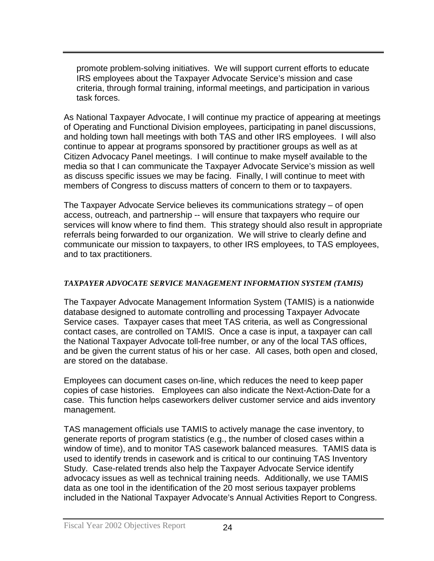promote problem-solving initiatives. We will support current efforts to educate IRS employees about the Taxpayer Advocate Service's mission and case criteria, through formal training, informal meetings, and participation in various task forces.

As National Taxpayer Advocate, I will continue my practice of appearing at meetings of Operating and Functional Division employees, participating in panel discussions, and holding town hall meetings with both TAS and other IRS employees. I will also continue to appear at programs sponsored by practitioner groups as well as at Citizen Advocacy Panel meetings. I will continue to make myself available to the media so that I can communicate the Taxpayer Advocate Service's mission as well as discuss specific issues we may be facing. Finally, I will continue to meet with members of Congress to discuss matters of concern to them or to taxpayers.

The Taxpayer Advocate Service believes its communications strategy – of open access, outreach, and partnership -- will ensure that taxpayers who require our services will know where to find them. This strategy should also result in appropriate referrals being forwarded to our organization. We will strive to clearly define and communicate our mission to taxpayers, to other IRS employees, to TAS employees, and to tax practitioners.

#### *TAXPAYER ADVOCATE SERVICE MANAGEMENT INFORMATION SYSTEM (TAMIS)*

The Taxpayer Advocate Management Information System (TAMIS) is a nationwide database designed to automate controlling and processing Taxpayer Advocate Service cases. Taxpayer cases that meet TAS criteria, as well as Congressional contact cases, are controlled on TAMIS. Once a case is input, a taxpayer can call the National Taxpayer Advocate toll-free number, or any of the local TAS offices, and be given the current status of his or her case. All cases, both open and closed, are stored on the database.

Employees can document cases on-line, which reduces the need to keep paper copies of case histories. Employees can also indicate the Next-Action-Date for a case. This function helps caseworkers deliver customer service and aids inventory management.

TAS management officials use TAMIS to actively manage the case inventory, to generate reports of program statistics (e.g., the number of closed cases within a window of time), and to monitor TAS casework balanced measures. TAMIS data is used to identify trends in casework and is critical to our continuing TAS Inventory Study. Case-related trends also help the Taxpayer Advocate Service identify advocacy issues as well as technical training needs. Additionally, we use TAMIS data as one tool in the identification of the 20 most serious taxpayer problems included in the National Taxpayer Advocate's Annual Activities Report to Congress.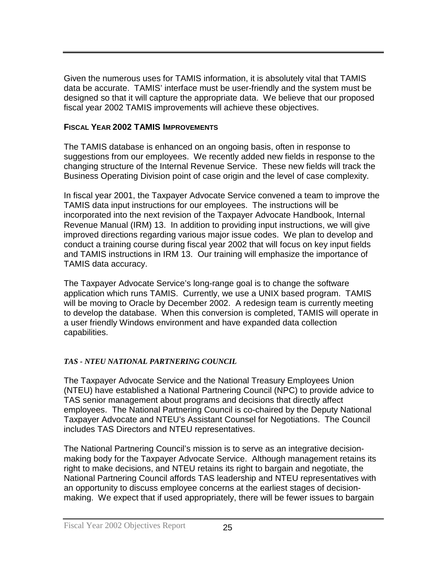Given the numerous uses for TAMIS information, it is absolutely vital that TAMIS data be accurate. TAMIS' interface must be user-friendly and the system must be designed so that it will capture the appropriate data. We believe that our proposed fiscal year 2002 TAMIS improvements will achieve these objectives.

#### **FISCAL YEAR 2002 TAMIS IMPROVEMENTS**

The TAMIS database is enhanced on an ongoing basis, often in response to suggestions from our employees. We recently added new fields in response to the changing structure of the Internal Revenue Service. These new fields will track the Business Operating Division point of case origin and the level of case complexity.

In fiscal year 2001, the Taxpayer Advocate Service convened a team to improve the TAMIS data input instructions for our employees. The instructions will be incorporated into the next revision of the Taxpayer Advocate Handbook, Internal Revenue Manual (IRM) 13. In addition to providing input instructions, we will give improved directions regarding various major issue codes. We plan to develop and conduct a training course during fiscal year 2002 that will focus on key input fields and TAMIS instructions in IRM 13. Our training will emphasize the importance of TAMIS data accuracy.

The Taxpayer Advocate Service's long-range goal is to change the software application which runs TAMIS. Currently, we use a UNIX based program. TAMIS will be moving to Oracle by December 2002. A redesign team is currently meeting to develop the database. When this conversion is completed, TAMIS will operate in a user friendly Windows environment and have expanded data collection capabilities.

#### *TAS - NTEU NATIONAL PARTNERING COUNCIL*

The Taxpayer Advocate Service and the National Treasury Employees Union (NTEU) have established a National Partnering Council (NPC) to provide advice to TAS senior management about programs and decisions that directly affect employees. The National Partnering Council is co-chaired by the Deputy National Taxpayer Advocate and NTEU's Assistant Counsel for Negotiations. The Council includes TAS Directors and NTEU representatives.

The National Partnering Council's mission is to serve as an integrative decisionmaking body for the Taxpayer Advocate Service. Although management retains its right to make decisions, and NTEU retains its right to bargain and negotiate, the National Partnering Council affords TAS leadership and NTEU representatives with an opportunity to discuss employee concerns at the earliest stages of decisionmaking. We expect that if used appropriately, there will be fewer issues to bargain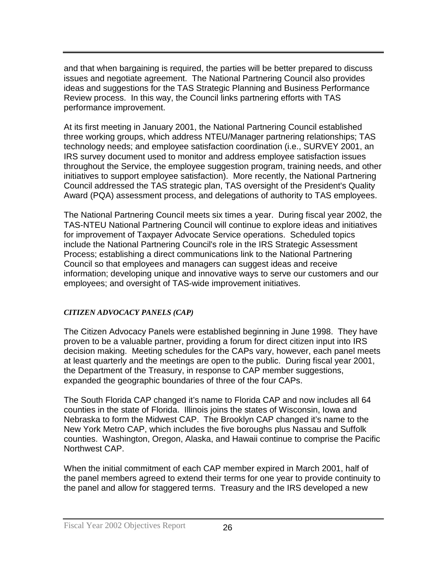and that when bargaining is required, the parties will be better prepared to discuss issues and negotiate agreement. The National Partnering Council also provides ideas and suggestions for the TAS Strategic Planning and Business Performance Review process. In this way, the Council links partnering efforts with TAS performance improvement.

At its first meeting in January 2001, the National Partnering Council established three working groups, which address NTEU/Manager partnering relationships; TAS technology needs; and employee satisfaction coordination (i.e., SURVEY 2001, an IRS survey document used to monitor and address employee satisfaction issues throughout the Service, the employee suggestion program, training needs, and other initiatives to support employee satisfaction). More recently, the National Partnering Council addressed the TAS strategic plan, TAS oversight of the President's Quality Award (PQA) assessment process, and delegations of authority to TAS employees.

The National Partnering Council meets six times a year. During fiscal year 2002, the TAS-NTEU National Partnering Council will continue to explore ideas and initiatives for improvement of Taxpayer Advocate Service operations. Scheduled topics include the National Partnering Council's role in the IRS Strategic Assessment Process; establishing a direct communications link to the National Partnering Council so that employees and managers can suggest ideas and receive information; developing unique and innovative ways to serve our customers and our employees; and oversight of TAS-wide improvement initiatives.

# *CITIZEN ADVOCACY PANELS (CAP)*

The Citizen Advocacy Panels were established beginning in June 1998. They have proven to be a valuable partner, providing a forum for direct citizen input into IRS decision making. Meeting schedules for the CAPs vary, however, each panel meets at least quarterly and the meetings are open to the public. During fiscal year 2001, the Department of the Treasury, in response to CAP member suggestions, expanded the geographic boundaries of three of the four CAPs.

The South Florida CAP changed it's name to Florida CAP and now includes all 64 counties in the state of Florida. Illinois joins the states of Wisconsin, Iowa and Nebraska to form the Midwest CAP. The Brooklyn CAP changed it's name to the New York Metro CAP, which includes the five boroughs plus Nassau and Suffolk counties. Washington, Oregon, Alaska, and Hawaii continue to comprise the Pacific Northwest CAP.

When the initial commitment of each CAP member expired in March 2001, half of the panel members agreed to extend their terms for one year to provide continuity to the panel and allow for staggered terms. Treasury and the IRS developed a new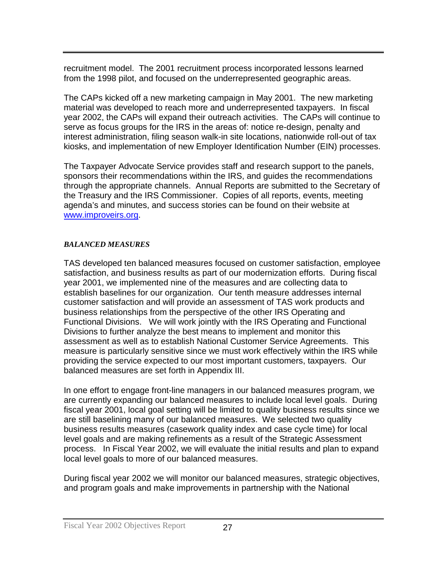recruitment model. The 2001 recruitment process incorporated lessons learned from the 1998 pilot, and focused on the underrepresented geographic areas.

The CAPs kicked off a new marketing campaign in May 2001. The new marketing material was developed to reach more and underrepresented taxpayers. In fiscal year 2002, the CAPs will expand their outreach activities. The CAPs will continue to serve as focus groups for the IRS in the areas of: notice re-design, penalty and interest administration, filing season walk-in site locations, nationwide roll-out of tax kiosks, and implementation of new Employer Identification Number (EIN) processes.

The Taxpayer Advocate Service provides staff and research support to the panels, sponsors their recommendations within the IRS, and guides the recommendations through the appropriate channels. Annual Reports are submitted to the Secretary of the Treasury and the IRS Commissioner. Copies of all reports, events, meeting agenda's and minutes, and success stories can be found on their website at [www.improveirs.org.](http://www.improveirs.org/)

#### *BALANCED MEASURES*

TAS developed ten balanced measures focused on customer satisfaction, employee satisfaction, and business results as part of our modernization efforts. During fiscal year 2001, we implemented nine of the measures and are collecting data to establish baselines for our organization. Our tenth measure addresses internal customer satisfaction and will provide an assessment of TAS work products and business relationships from the perspective of the other IRS Operating and Functional Divisions. We will work jointly with the IRS Operating and Functional Divisions to further analyze the best means to implement and monitor this assessment as well as to establish National Customer Service Agreements. This measure is particularly sensitive since we must work effectively within the IRS while providing the service expected to our most important customers, taxpayers. Our balanced measures are set forth in Appendix III.

In one effort to engage front-line managers in our balanced measures program, we are currently expanding our balanced measures to include local level goals. During fiscal year 2001, local goal setting will be limited to quality business results since we are still baselining many of our balanced measures. We selected two quality business results measures (casework quality index and case cycle time) for local level goals and are making refinements as a result of the Strategic Assessment process. In Fiscal Year 2002, we will evaluate the initial results and plan to expand local level goals to more of our balanced measures.

During fiscal year 2002 we will monitor our balanced measures, strategic objectives, and program goals and make improvements in partnership with the National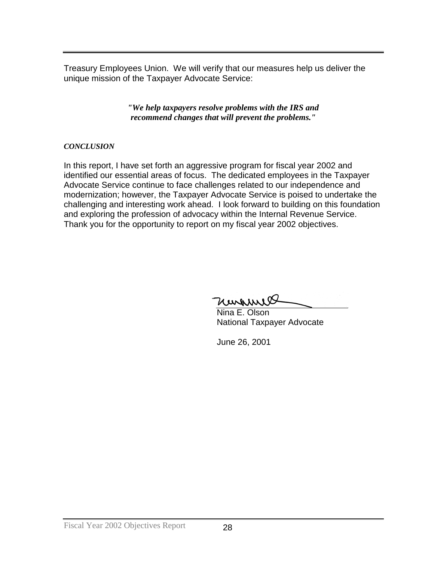Treasury Employees Union. We will verify that our measures help us deliver the unique mission of the Taxpayer Advocate Service:

> *"We help taxpayers resolve problems with the IRS and recommend changes that will prevent the problems."*

#### *CONCLUSION*

In this report, I have set forth an aggressive program for fiscal year 2002 and identified our essential areas of focus. The dedicated employees in the Taxpayer Advocate Service continue to face challenges related to our independence and modernization; however, the Taxpayer Advocate Service is poised to undertake the challenging and interesting work ahead. I look forward to building on this foundation and exploring the profession of advocacy within the Internal Revenue Service. Thank you for the opportunity to report on my fiscal year 2002 objectives.

Margaret

Nina E. Olson National Taxpayer Advocate

June 26, 2001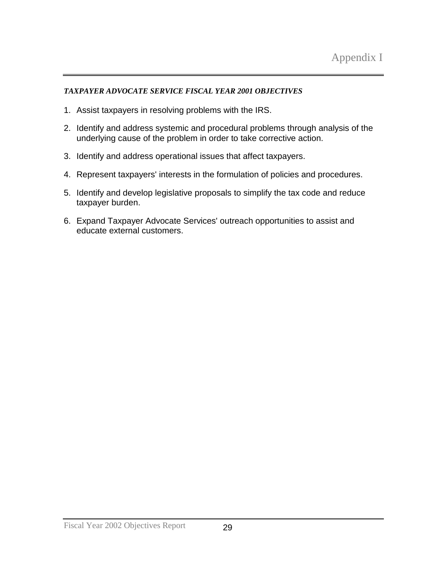#### *TAXPAYER ADVOCATE SERVICE FISCAL YEAR 2001 OBJECTIVES*

- 1. Assist taxpayers in resolving problems with the IRS.
- 2. Identify and address systemic and procedural problems through analysis of the underlying cause of the problem in order to take corrective action.
- 3. Identify and address operational issues that affect taxpayers.
- 4. Represent taxpayers' interests in the formulation of policies and procedures.
- 5. Identify and develop legislative proposals to simplify the tax code and reduce taxpayer burden.
- 6. Expand Taxpayer Advocate Services' outreach opportunities to assist and educate external customers.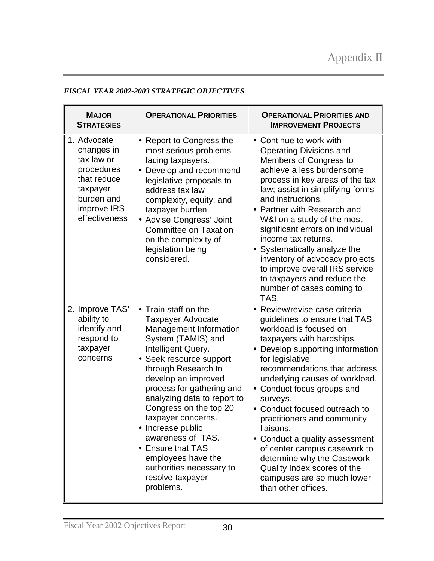#### *FISCAL YEAR 2002-2003 STRATEGIC OBJECTIVES*

| <b>MAJOR</b><br><b>STRATEGIES</b>                                                                                              | <b>OPERATIONAL PRIORITIES</b>                                                                                                                                                                                                                                                                                                                                                                                                                               | <b>OPERATIONAL PRIORITIES AND</b><br><b>IMPROVEMENT PROJECTS</b>                                                                                                                                                                                                                                                                                                                                                                                                                                                                                        |  |
|--------------------------------------------------------------------------------------------------------------------------------|-------------------------------------------------------------------------------------------------------------------------------------------------------------------------------------------------------------------------------------------------------------------------------------------------------------------------------------------------------------------------------------------------------------------------------------------------------------|---------------------------------------------------------------------------------------------------------------------------------------------------------------------------------------------------------------------------------------------------------------------------------------------------------------------------------------------------------------------------------------------------------------------------------------------------------------------------------------------------------------------------------------------------------|--|
| 1. Advocate<br>changes in<br>tax law or<br>procedures<br>that reduce<br>taxpayer<br>burden and<br>improve IRS<br>effectiveness | • Report to Congress the<br>most serious problems<br>facing taxpayers.<br>• Develop and recommend<br>legislative proposals to<br>address tax law<br>complexity, equity, and<br>taxpayer burden.<br>• Advise Congress' Joint<br><b>Committee on Taxation</b><br>on the complexity of<br>legislation being<br>considered.                                                                                                                                     | • Continue to work with<br><b>Operating Divisions and</b><br>Members of Congress to<br>achieve a less burdensome<br>process in key areas of the tax<br>law; assist in simplifying forms<br>and instructions.<br>• Partner with Research and<br>W&I on a study of the most<br>significant errors on individual<br>income tax returns.<br>• Systematically analyze the<br>inventory of advocacy projects<br>to improve overall IRS service<br>to taxpayers and reduce the<br>number of cases coming to<br>TAS.                                            |  |
| 2. Improve TAS'<br>ability to<br>identify and<br>respond to<br>taxpayer<br>concerns                                            | Train staff on the<br><b>Taxpayer Advocate</b><br>Management Information<br>System (TAMIS) and<br>Intelligent Query.<br>• Seek resource support<br>through Research to<br>develop an improved<br>process for gathering and<br>analyzing data to report to<br>Congress on the top 20<br>taxpayer concerns.<br>• Increase public<br>awareness of TAS.<br>• Ensure that TAS<br>employees have the<br>authorities necessary to<br>resolve taxpayer<br>problems. | • Review/revise case criteria<br>guidelines to ensure that TAS<br>workload is focused on<br>taxpayers with hardships.<br>Develop supporting information<br>for legislative<br>recommendations that address<br>underlying causes of workload.<br>• Conduct focus groups and<br>surveys.<br>• Conduct focused outreach to<br>practitioners and community<br>liaisons.<br>• Conduct a quality assessment<br>of center campus casework to<br>determine why the Casework<br>Quality Index scores of the<br>campuses are so much lower<br>than other offices. |  |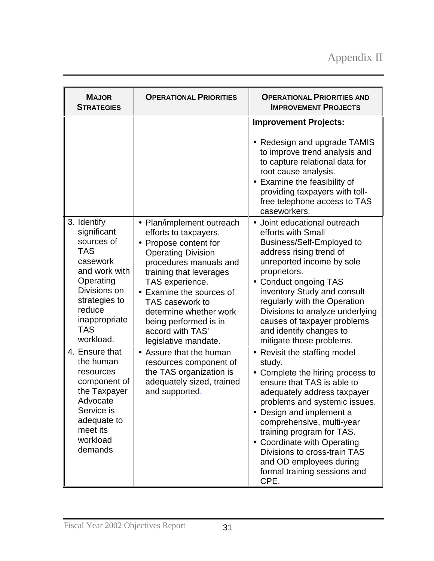# Appendix II

| <b>MAJOR</b><br><b>STRATEGIES</b>                                                                                                                                                       | <b>OPERATIONAL PRIORITIES</b>                                                                                                                                                                                                                                                                                                | <b>OPERATIONAL PRIORITIES AND</b><br><b>IMPROVEMENT PROJECTS</b>                                                                                                                                                                                                                                                                                                                                 |
|-----------------------------------------------------------------------------------------------------------------------------------------------------------------------------------------|------------------------------------------------------------------------------------------------------------------------------------------------------------------------------------------------------------------------------------------------------------------------------------------------------------------------------|--------------------------------------------------------------------------------------------------------------------------------------------------------------------------------------------------------------------------------------------------------------------------------------------------------------------------------------------------------------------------------------------------|
|                                                                                                                                                                                         |                                                                                                                                                                                                                                                                                                                              | <b>Improvement Projects:</b><br>• Redesign and upgrade TAMIS<br>to improve trend analysis and<br>to capture relational data for<br>root cause analysis.<br>• Examine the feasibility of<br>providing taxpayers with toll-<br>free telephone access to TAS<br>caseworkers.                                                                                                                        |
| 3. Identify<br>significant<br>sources of<br><b>TAS</b><br>casework<br>and work with<br>Operating<br>Divisions on<br>strategies to<br>reduce<br>inappropriate<br><b>TAS</b><br>workload. | • Plan/implement outreach<br>efforts to taxpayers.<br>• Propose content for<br><b>Operating Division</b><br>procedures manuals and<br>training that leverages<br>TAS experience.<br>Examine the sources of<br>TAS casework to<br>determine whether work<br>being performed is in<br>accord with TAS'<br>legislative mandate. | • Joint educational outreach<br>efforts with Small<br><b>Business/Self-Employed to</b><br>address rising trend of<br>unreported income by sole<br>proprietors.<br><b>Conduct ongoing TAS</b><br>inventory Study and consult<br>regularly with the Operation<br>Divisions to analyze underlying<br>causes of taxpayer problems<br>and identify changes to<br>mitigate those problems.             |
| 4. Ensure that<br>the human<br>resources<br>component of<br>the Taxpayer<br>Advocate<br>Service is<br>adequate to<br>meet its<br>workload<br>demands                                    | • Assure that the human<br>resources component of<br>the TAS organization is<br>adequately sized, trained<br>and supported.                                                                                                                                                                                                  | • Revisit the staffing model<br>study.<br>• Complete the hiring process to<br>ensure that TAS is able to<br>adequately address taxpayer<br>problems and systemic issues.<br>• Design and implement a<br>comprehensive, multi-year<br>training program for TAS.<br>• Coordinate with Operating<br>Divisions to cross-train TAS<br>and OD employees during<br>formal training sessions and<br>CPE. |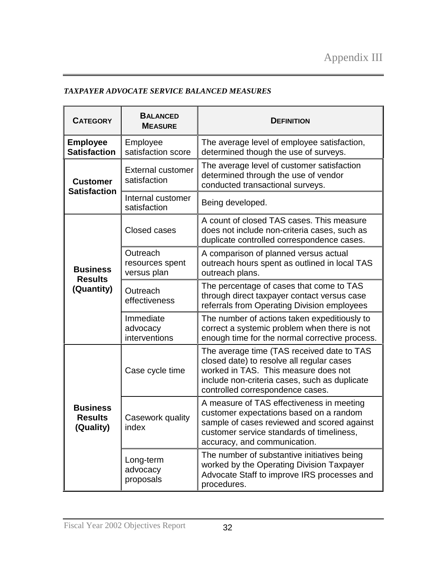#### *TAXPAYER ADVOCATE SERVICE BALANCED MEASURES*

| <b>CATEGORY</b>                                | <b>BALANCED</b><br><b>MEASURE</b>          | <b>DEFINITION</b>                                                                                                                                                                                                    |
|------------------------------------------------|--------------------------------------------|----------------------------------------------------------------------------------------------------------------------------------------------------------------------------------------------------------------------|
| <b>Employee</b><br><b>Satisfaction</b>         | Employee<br>satisfaction score             | The average level of employee satisfaction,<br>determined though the use of surveys.                                                                                                                                 |
| <b>Customer</b><br><b>Satisfaction</b>         | <b>External customer</b><br>satisfaction   | The average level of customer satisfaction<br>determined through the use of vendor<br>conducted transactional surveys.                                                                                               |
|                                                | Internal customer<br>satisfaction          | Being developed.                                                                                                                                                                                                     |
|                                                | Closed cases                               | A count of closed TAS cases. This measure<br>does not include non-criteria cases, such as<br>duplicate controlled correspondence cases.                                                                              |
| <b>Business</b><br><b>Results</b>              | Outreach<br>resources spent<br>versus plan | A comparison of planned versus actual<br>outreach hours spent as outlined in local TAS<br>outreach plans.                                                                                                            |
| (Quantity)                                     | Outreach<br>effectiveness                  | The percentage of cases that come to TAS<br>through direct taxpayer contact versus case<br>referrals from Operating Division employees                                                                               |
|                                                | Immediate<br>advocacy<br>interventions     | The number of actions taken expeditiously to<br>correct a systemic problem when there is not<br>enough time for the normal corrective process.                                                                       |
|                                                | Case cycle time                            | The average time (TAS received date to TAS<br>closed date) to resolve all regular cases<br>worked in TAS. This measure does not<br>include non-criteria cases, such as duplicate<br>controlled correspondence cases. |
| <b>Business</b><br><b>Results</b><br>(Quality) | Casework quality<br>index                  | A measure of TAS effectiveness in meeting<br>customer expectations based on a random<br>sample of cases reviewed and scored against<br>customer service standards of timeliness,<br>accuracy, and communication.     |
|                                                | Long-term<br>advocacy<br>proposals         | The number of substantive initiatives being<br>worked by the Operating Division Taxpayer<br>Advocate Staff to improve IRS processes and<br>procedures.                                                               |